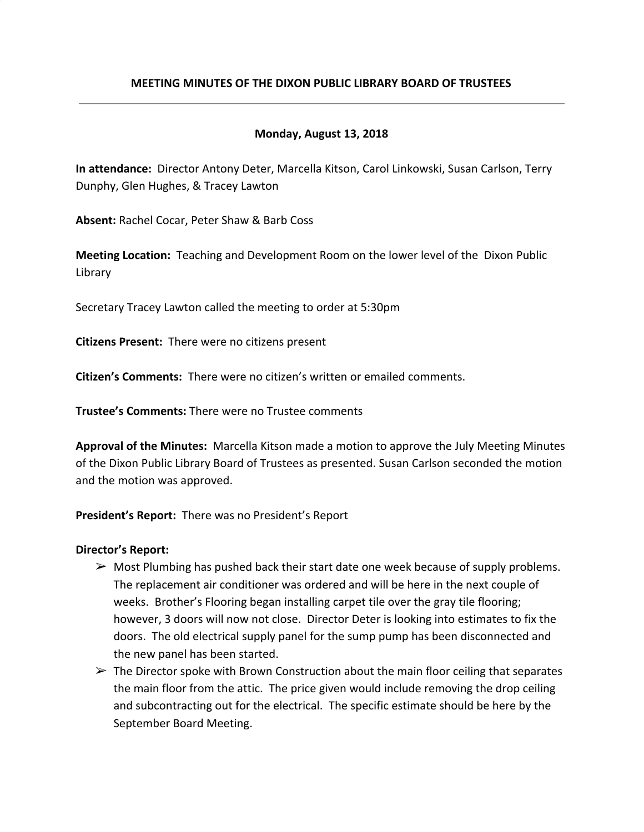### **MEETING MINUTES OF THE DIXON PUBLIC LIBRARY BOARD OF TRUSTEES**

#### **Monday, August 13, 2018**

**In attendance:** Director Antony Deter, Marcella Kitson, Carol Linkowski, Susan Carlson, Terry Dunphy, Glen Hughes, & Tracey Lawton

**Absent:** Rachel Cocar, Peter Shaw & Barb Coss

**Meeting Location:** Teaching and Development Room on the lower level of the Dixon Public Library

Secretary Tracey Lawton called the meeting to order at 5:30pm

**Citizens Present:** There were no citizens present

**Citizen's Comments:** There were no citizen's written or emailed comments.

**Trustee's Comments:** There were no Trustee comments

**Approval of the Minutes:** Marcella Kitson made a motion to approve the July Meeting Minutes of the Dixon Public Library Board of Trustees as presented. Susan Carlson seconded the motion and the motion was approved.

**President's Report:** There was no President's Report

#### **Director's Report:**

- $\triangleright$  Most Plumbing has pushed back their start date one week because of supply problems. The replacement air conditioner was ordered and will be here in the next couple of weeks. Brother's Flooring began installing carpet tile over the gray tile flooring; however, 3 doors will now not close. Director Deter is looking into estimates to fix the doors. The old electrical supply panel for the sump pump has been disconnected and the new panel has been started.
- $\triangleright$  The Director spoke with Brown Construction about the main floor ceiling that separates the main floor from the attic. The price given would include removing the drop ceiling and subcontracting out for the electrical. The specific estimate should be here by the September Board Meeting.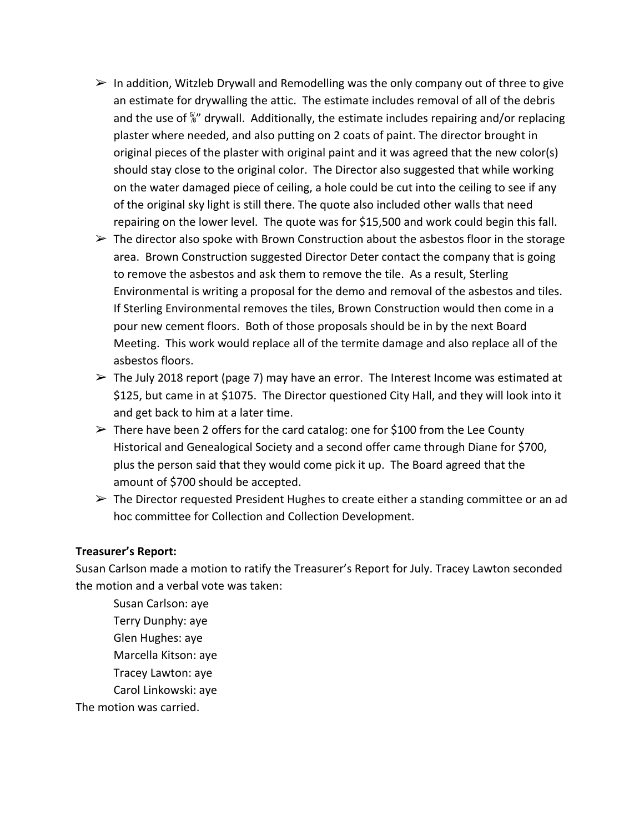- $\triangleright$  In addition, Witzleb Drywall and Remodelling was the only company out of three to give an estimate for drywalling the attic. The estimate includes removal of all of the debris and the use of <sup>§</sup> drywall. Additionally, the estimate includes repairing and/or replacing plaster where needed, and also putting on 2 coats of paint. The director brought in original pieces of the plaster with original paint and it was agreed that the new color(s) should stay close to the original color. The Director also suggested that while working on the water damaged piece of ceiling, a hole could be cut into the ceiling to see if any of the original sky light is still there. The quote also included other walls that need repairing on the lower level. The quote was for \$15,500 and work could begin this fall.
- $\triangleright$  The director also spoke with Brown Construction about the asbestos floor in the storage area. Brown Construction suggested Director Deter contact the company that is going to remove the asbestos and ask them to remove the tile. As a result, Sterling Environmental is writing a proposal for the demo and removal of the asbestos and tiles. If Sterling Environmental removes the tiles, Brown Construction would then come in a pour new cement floors. Both of those proposals should be in by the next Board Meeting. This work would replace all of the termite damage and also replace all of the asbestos floors.
- $\triangleright$  The July 2018 report (page 7) may have an error. The Interest Income was estimated at \$125, but came in at \$1075. The Director questioned City Hall, and they will look into it and get back to him at a later time.
- $\triangleright$  There have been 2 offers for the card catalog: one for \$100 from the Lee County Historical and Genealogical Society and a second offer came through Diane for \$700, plus the person said that they would come pick it up. The Board agreed that the amount of \$700 should be accepted.
- $\triangleright$  The Director requested President Hughes to create either a standing committee or an ad hoc committee for Collection and Collection Development.

#### **Treasurer's Report:**

Susan Carlson made a motion to ratify the Treasurer's Report for July. Tracey Lawton seconded the motion and a verbal vote was taken:

Susan Carlson: aye Terry Dunphy: aye Glen Hughes: aye Marcella Kitson: aye Tracey Lawton: aye Carol Linkowski: aye The motion was carried.